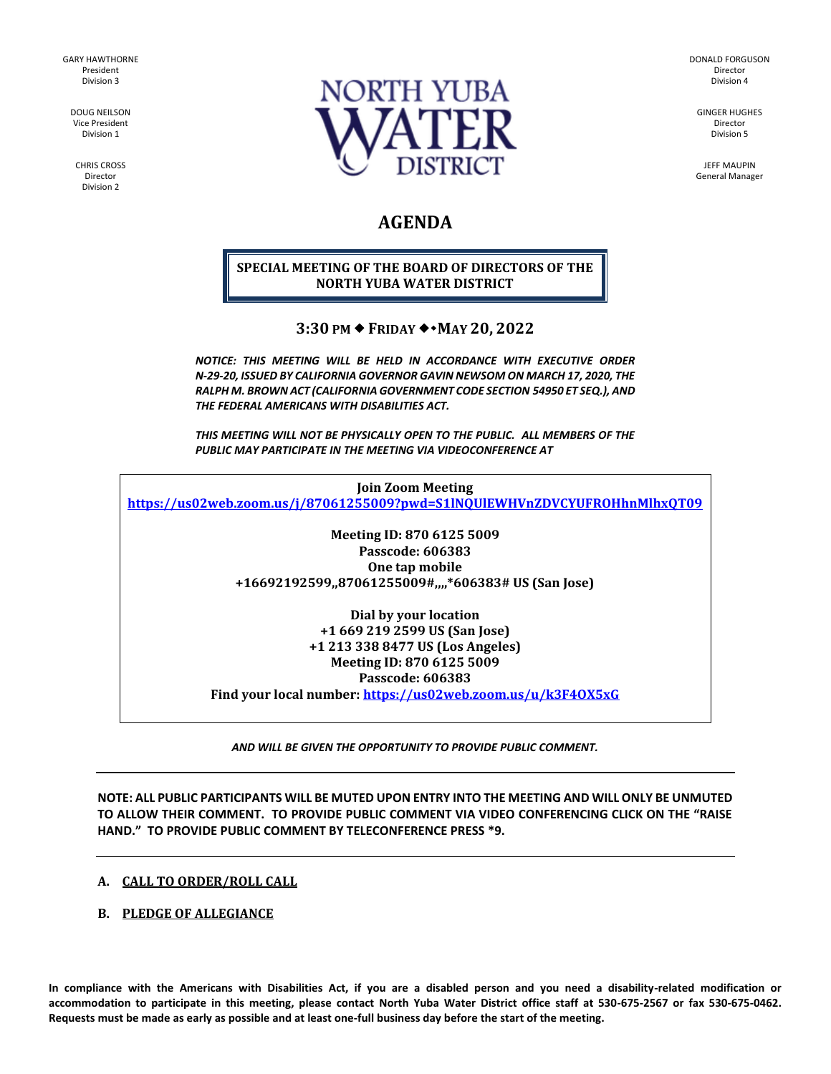GARY HAWTHORNE President Division 3

> DOUG NEILSON Vice President Division 1

CHRIS CROSS Director Division 2



DONALD FORGUSON Director Division 4

GINGER HUGHES Director Division 5

JEFF MAUPIN General Manager

# **AGENDA**

## **SPECIAL MEETING OF THE BOARD OF DIRECTORS OF THE NORTH YUBA WATER DISTRICT**

## **3:30 PM FRIDAY MAY 20, 2022**

*NOTICE: THIS MEETING WILL BE HELD IN ACCORDANCE WITH EXECUTIVE ORDER N-29-20, ISSUED BY CALIFORNIA GOVERNOR GAVIN NEWSOM ON MARCH 17, 2020, THE RALPH M. BROWN ACT (CALIFORNIA GOVERNMENT CODE SECTION 54950 ET SEQ.), AND THE FEDERAL AMERICANS WITH DISABILITIES ACT.* 

*THIS MEETING WILL NOT BE PHYSICALLY OPEN TO THE PUBLIC. ALL MEMBERS OF THE PUBLIC MAY PARTICIPATE IN THE MEETING VIA VIDEOCONFERENCE AT* 

**Join Zoom Meeting <https://us02web.zoom.us/j/87061255009?pwd=S1lNQUlEWHVnZDVCYUFROHhnMlhxQT09>**

> **Meeting ID: 870 6125 5009 Passcode: 606383 One tap mobile +16692192599,,87061255009#,,,,\*606383# US (San Jose)**

**Dial by your location +1 669 219 2599 US (San Jose) +1 213 338 8477 US (Los Angeles) Meeting ID: 870 6125 5009 Passcode: 606383**

**Find your local number:<https://us02web.zoom.us/u/k3F4OX5xG>**

*AND WILL BE GIVEN THE OPPORTUNITY TO PROVIDE PUBLIC COMMENT.* 

**NOTE: ALL PUBLIC PARTICIPANTS WILL BE MUTED UPON ENTRY INTO THE MEETING AND WILL ONLY BE UNMUTED TO ALLOW THEIR COMMENT. TO PROVIDE PUBLIC COMMENT VIA VIDEO CONFERENCING CLICK ON THE "RAISE HAND." TO PROVIDE PUBLIC COMMENT BY TELECONFERENCE PRESS \*9.**

## **A. CALL TO ORDER/ROLL CALL**

## **B. PLEDGE OF ALLEGIANCE**

**In compliance with the Americans with Disabilities Act, if you are a disabled person and you need a disability-related modification or accommodation to participate in this meeting, please contact North Yuba Water District office staff at 530-675-2567 or fax 530-675-0462. Requests must be made as early as possible and at least one-full business day before the start of the meeting.**